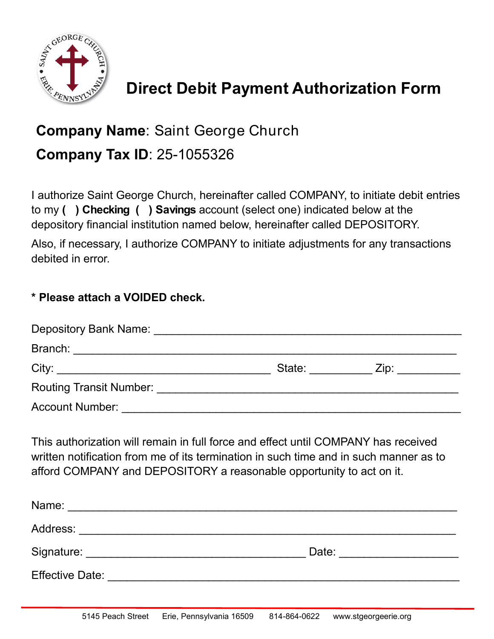

## **Direct Debit Payment Authorization Form**

## **Company Name**: Saint George Church **Company Tax ID**: 25-1055326

I authorize Saint George Church, hereinafter called COMPANY, to initiate debit entries to my **( ) Checking ( ) Savings** account (select one) indicated below at the depository financial institution named below, hereinafter called DEPOSITORY.

Also, if necessary, I authorize COMPANY to initiate adjustments for any transactions debited in error.

## **\* Please attach a VOIDED check.**

| Depository Bank Name: Depository Bank Name:                                                                                                                                                                                        |               |                                                                                                                                                                                                                                |  |
|------------------------------------------------------------------------------------------------------------------------------------------------------------------------------------------------------------------------------------|---------------|--------------------------------------------------------------------------------------------------------------------------------------------------------------------------------------------------------------------------------|--|
| Branch:<br><u> 1989 - John Stone, Amerikaansk politiker († 1908)</u>                                                                                                                                                               |               |                                                                                                                                                                                                                                |  |
| City:                                                                                                                                                                                                                              | State: State: | Zip: the contract of the contract of the contract of the contract of the contract of the contract of the contract of the contract of the contract of the contract of the contract of the contract of the contract of the contr |  |
| <b>Routing Transit Number:</b> Now the Contract of the Contract of the Contract of the Contract of the Contract of the Contract of the Contract of the Contract of the Contract of the Contract of the Contract of the Contract of |               |                                                                                                                                                                                                                                |  |
| <b>Account Number:</b>                                                                                                                                                                                                             |               |                                                                                                                                                                                                                                |  |

This authorization will remain in full force and effect until COMPANY has received written notification from me of its termination in such time and in such manner as to afford COMPANY and DEPOSITORY a reasonable opportunity to act on it.

| Name:                  |       |  |
|------------------------|-------|--|
| Address:               |       |  |
| Signature:             | Date: |  |
| <b>Effective Date:</b> |       |  |